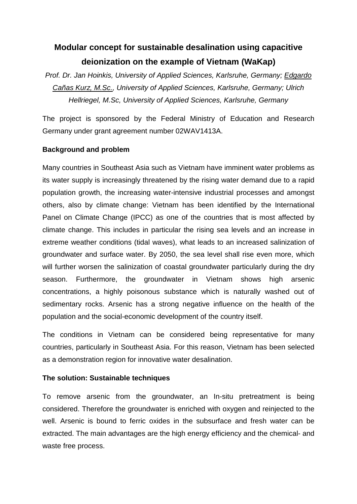# **Modular concept for sustainable desalination using capacitive deionization on the example of Vietnam (WaKap)**

*Prof. Dr. Jan Hoinkis, University of Applied Sciences, Karlsruhe, Germany; Edgardo Cañas Kurz, M.Sc., University of Applied Sciences, Karlsruhe, Germany; Ulrich Hellriegel, M.Sc, University of Applied Sciences, Karlsruhe, Germany*

The project is sponsored by the Federal Ministry of Education and Research Germany under grant agreement number 02WAV1413A.

## **Background and problem**

Many countries in Southeast Asia such as Vietnam have imminent water problems as its water supply is increasingly threatened by the rising water demand due to a rapid population growth, the increasing water-intensive industrial processes and amongst others, also by climate change: Vietnam has been identified by the International Panel on Climate Change (IPCC) as one of the countries that is most affected by climate change. This includes in particular the rising sea levels and an increase in extreme weather conditions (tidal waves), what leads to an increased salinization of groundwater and surface water. By 2050, the sea level shall rise even more, which will further worsen the salinization of coastal groundwater particularly during the dry season. Furthermore, the groundwater in Vietnam shows high arsenic concentrations, a highly poisonous substance which is naturally washed out of sedimentary rocks. Arsenic has a strong negative influence on the health of the population and the social-economic development of the country itself.

The conditions in Vietnam can be considered being representative for many countries, particularly in Southeast Asia. For this reason, Vietnam has been selected as a demonstration region for innovative water desalination.

## **The solution: Sustainable techniques**

To remove arsenic from the groundwater, an In-situ pretreatment is being considered. Therefore the groundwater is enriched with oxygen and reinjected to the well. Arsenic is bound to ferric oxides in the subsurface and fresh water can be extracted. The main advantages are the high energy efficiency and the chemical- and waste free process.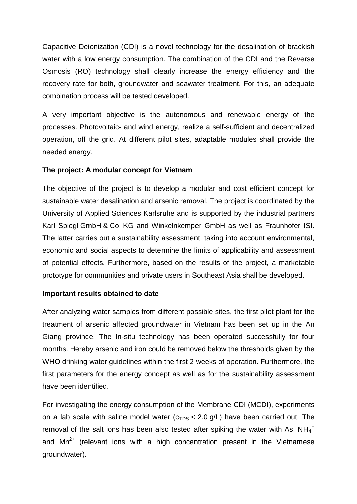Capacitive Deionization (CDI) is a novel technology for the desalination of brackish water with a low energy consumption. The combination of the CDI and the Reverse Osmosis (RO) technology shall clearly increase the energy efficiency and the recovery rate for both, groundwater and seawater treatment. For this, an adequate combination process will be tested developed.

A very important objective is the autonomous and renewable energy of the processes. Photovoltaic- and wind energy, realize a self-sufficient and decentralized operation, off the grid. At different pilot sites, adaptable modules shall provide the needed energy.

#### **The project: A modular concept for Vietnam**

The objective of the project is to develop a modular and cost efficient concept for sustainable water desalination and arsenic removal. The project is coordinated by the University of Applied Sciences Karlsruhe and is supported by the industrial partners Karl Spiegl GmbH & Co. KG and Winkelnkemper GmbH as well as Fraunhofer ISI. The latter carries out a sustainability assessment, taking into account environmental, economic and social aspects to determine the limits of applicability and assessment of potential effects. Furthermore, based on the results of the project, a marketable prototype for communities and private users in Southeast Asia shall be developed.

#### **Important results obtained to date**

After analyzing water samples from different possible sites, the first pilot plant for the treatment of arsenic affected groundwater in Vietnam has been set up in the An Giang province. The In-situ technology has been operated successfully for four months. Hereby arsenic and iron could be removed below the thresholds given by the WHO drinking water guidelines within the first 2 weeks of operation. Furthermore, the first parameters for the energy concept as well as for the sustainability assessment have been identified.

For investigating the energy consumption of the Membrane CDI (MCDI), experiments on a lab scale with saline model water  $(c_{TDS} < 2.0$  g/L) have been carried out. The removal of the salt ions has been also tested after spiking the water with As,  $NH_4$ <sup>+</sup> and  $Mn^{2+}$  (relevant ions with a high concentration present in the Vietnamese groundwater).